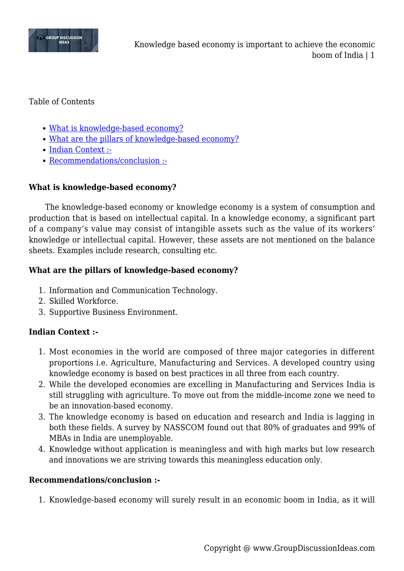

#### Table of Contents

- [What is knowledge-based economy?](#page--1-0)
- [What are the pillars of knowledge-based economy?](#page--1-0)
- [Indian Context :-](#page--1-0)
- [Recommendations/conclusion :-](#page--1-0)

## **What is knowledge-based economy?**

The knowledge-based economy or knowledge economy is a system of consumption and production that is based on intellectual capital. In a knowledge economy, a significant part of a company's value may consist of intangible assets such as the value of its workers' knowledge or intellectual capital. However, these assets are not mentioned on the balance sheets. Examples include research, consulting etc.

### **What are the pillars of knowledge-based economy?**

- 1. Information and Communication Technology.
- 2. Skilled Workforce.
- 3. Supportive Business Environment.

# **Indian Context :-**

- 1. Most economies in the world are composed of three major categories in different proportions i.e. Agriculture, Manufacturing and Services. A developed country using knowledge economy is based on best practices in all three from each country.
- 2. While the developed economies are excelling in Manufacturing and Services India is still struggling with agriculture. To move out from the middle-income zone we need to be an innovation-based economy.
- 3. The knowledge economy is based on education and research and India is lagging in both these fields. A survey by NASSCOM found out that 80% of graduates and 99% of MBAs in India are unemployable.
- 4. Knowledge without application is meaningless and with high marks but low research and innovations we are striving towards this meaningless education only.

### **Recommendations/conclusion :-**

1. Knowledge-based economy will surely result in an economic boom in India, as it will